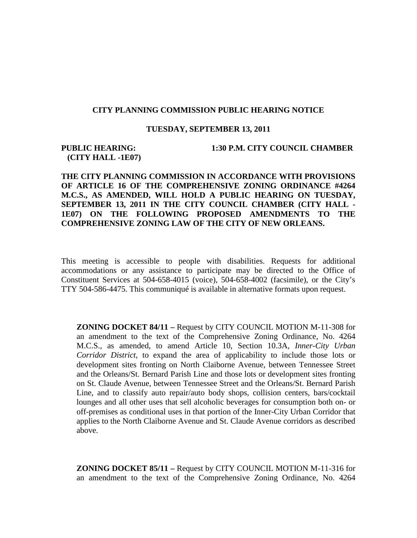## **CITY PLANNING COMMISSION PUBLIC HEARING NOTICE**

## **TUESDAY, SEPTEMBER 13, 2011**

## **(CITY HALL -1E07)**

**PUBLIC HEARING: 1:30 P.M. CITY COUNCIL CHAMBER**

## **THE CITY PLANNING COMMISSION IN ACCORDANCE WITH PROVISIONS OF ARTICLE 16 OF THE COMPREHENSIVE ZONING ORDINANCE #4264 M.C.S., AS AMENDED, WILL HOLD A PUBLIC HEARING ON TUESDAY, SEPTEMBER 13, 2011 IN THE CITY COUNCIL CHAMBER (CITY HALL - 1E07) ON THE FOLLOWING PROPOSED AMENDMENTS TO THE COMPREHENSIVE ZONING LAW OF THE CITY OF NEW ORLEANS.**

This meeting is accessible to people with disabilities. Requests for additional accommodations or any assistance to participate may be directed to the Office of Constituent Services at 504-658-4015 (voice), 504-658-4002 (facsimile), or the City's TTY 504-586-4475. This communiqué is available in alternative formats upon request.

**ZONING DOCKET 84/11 –** Request by CITY COUNCIL MOTION M-11-308 for an amendment to the text of the Comprehensive Zoning Ordinance, No. 4264 M.C.S., as amended, to amend Article 10, Section 10.3A, *Inner-City Urban Corridor District*, to expand the area of applicability to include those lots or development sites fronting on North Claiborne Avenue, between Tennessee Street and the Orleans/St. Bernard Parish Line and those lots or development sites fronting on St. Claude Avenue, between Tennessee Street and the Orleans/St. Bernard Parish Line, and to classify auto repair/auto body shops, collision centers, bars/cocktail lounges and all other uses that sell alcoholic beverages for consumption both on- or off-premises as conditional uses in that portion of the Inner-City Urban Corridor that applies to the North Claiborne Avenue and St. Claude Avenue corridors as described above.

**ZONING DOCKET 85/11 –** Request by CITY COUNCIL MOTION M-11-316 for an amendment to the text of the Comprehensive Zoning Ordinance, No. 4264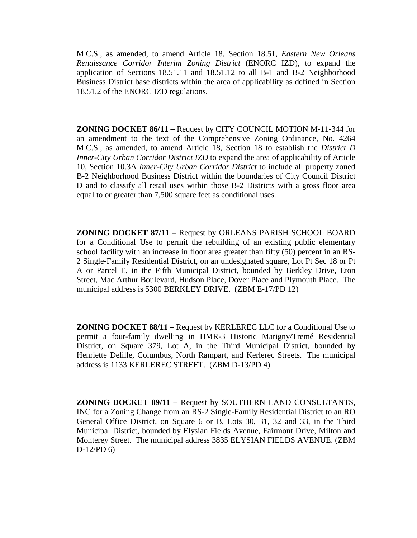M.C.S., as amended, to amend Article 18, Section 18.51, *Eastern New Orleans Renaissance Corridor Interim Zoning District* (ENORC IZD), to expand the application of Sections 18.51.11 and 18.51.12 to all B-1 and B-2 Neighborhood Business District base districts within the area of applicability as defined in Section 18.51.2 of the ENORC IZD regulations.

**ZONING DOCKET 86/11 –** Request by CITY COUNCIL MOTION M-11-344 for an amendment to the text of the Comprehensive Zoning Ordinance, No. 4264 M.C.S., as amended, to amend Article 18, Section 18 to establish the *District D Inner-City Urban Corridor District IZD* to expand the area of applicability of Article 10, Section 10.3A *Inner-City Urban Corridor District* to include all property zoned B-2 Neighborhood Business District within the boundaries of City Council District D and to classify all retail uses within those B-2 Districts with a gross floor area equal to or greater than 7,500 square feet as conditional uses.

**ZONING DOCKET 87/11 –** Request by ORLEANS PARISH SCHOOL BOARD for a Conditional Use to permit the rebuilding of an existing public elementary school facility with an increase in floor area greater than fifty (50) percent in an RS-2 Single-Family Residential District, on an undesignated square, Lot Pt Sec 18 or Pt A or Parcel E, in the Fifth Municipal District, bounded by Berkley Drive, Eton Street, Mac Arthur Boulevard, Hudson Place, Dover Place and Plymouth Place. The municipal address is 5300 BERKLEY DRIVE. (ZBM E-17/PD 12)

**ZONING DOCKET 88/11 –** Request by KERLEREC LLC for a Conditional Use to permit a four-family dwelling in HMR-3 Historic Marigny/Tremé Residential District, on Square 379, Lot A, in the Third Municipal District, bounded by Henriette Delille, Columbus, North Rampart, and Kerlerec Streets. The municipal address is 1133 KERLEREC STREET. (ZBM D-13/PD 4)

**ZONING DOCKET 89/11 –** Request by SOUTHERN LAND CONSULTANTS, INC for a Zoning Change from an RS-2 Single-Family Residential District to an RO General Office District, on Square 6 or B, Lots 30, 31, 32 and 33, in the Third Municipal District, bounded by Elysian Fields Avenue, Fairmont Drive, Milton and Monterey Street. The municipal address 3835 ELYSIAN FIELDS AVENUE. (ZBM D-12/PD 6)